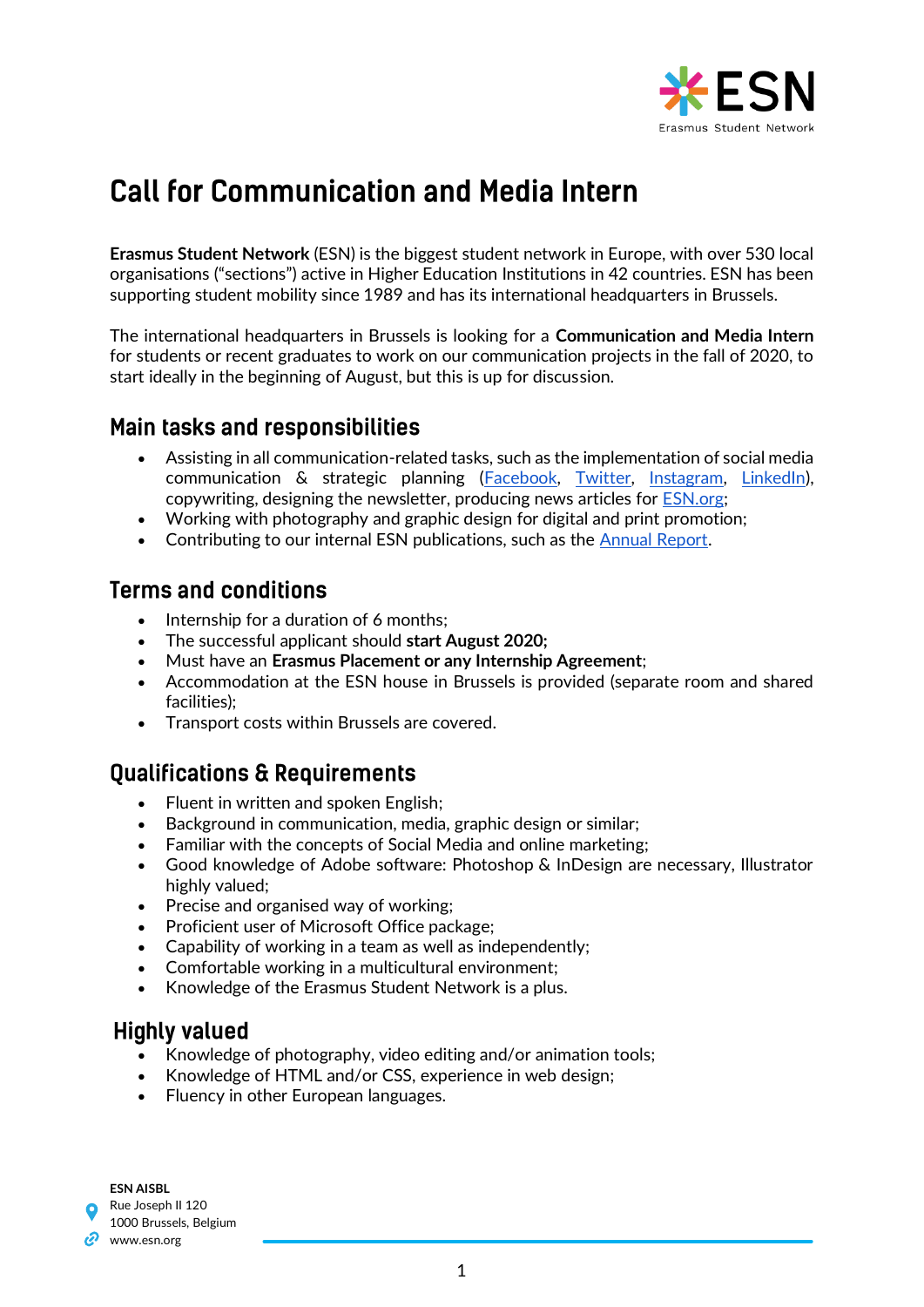

# **Call for Communication and Media Intern**

**Erasmus Student Network** (ESN) is the biggest student network in Europe, with over 530 local organisations ("sections") active in Higher Education Institutions in 42 countries. ESN has been supporting student mobility since 1989 and has its international headquarters in Brussels.

The international headquarters in Brussels is looking for a **Communication and Media Intern**  for students or recent graduates to work on our communication projects in the fall of 2020, to start ideally in the beginning of August, but this is up for discussion.

### **Main tasks and responsibilities**

- Assisting in all communication-related tasks, such as the implementation of social media communication & strategic planning [\(Facebook,](https://www.facebook.com/esn/) [Twitter,](https://twitter.com/esn_int?lang=en) [Instagram,](https://www.instagram.com/esn_int/?hl=en) [LinkedIn\)](https://www.linkedin.com/company/erasmus-student-network/), copywriting, designing the newsletter, producing news articles for **ESN.org**;
- Working with photography and graphic design for digital and print promotion;
- Contributing to our internal ESN publications, such as the [Annual Report.](http://esn.org/annual-report)

#### **Terms and conditions**

- Internship for a duration of 6 months;
- The successful applicant should **start August 2020;**
- Must have an **Erasmus Placement or any Internship Agreement**;
- Accommodation at the ESN house in Brussels is provided (separate room and shared facilities);
- Transport costs within Brussels are covered.

## **Oualifications & Requirements**

- Fluent in written and spoken English;
- Background in communication, media, graphic design or similar;
- Familiar with the concepts of Social Media and online marketing;
- Good knowledge of Adobe software: Photoshop & InDesign are necessary, Illustrator highly valued;
- Precise and organised way of working;
- Proficient user of Microsoft Office package;
- Capability of working in a team as well as independently;
- Comfortable working in a multicultural environment;
- Knowledge of the Erasmus Student Network is a plus.

#### **Highly valued**

- Knowledge of photography, video editing and/or animation tools;
- Knowledge of HTML and/or CSS, experience in web design;
- Fluency in other European languages.